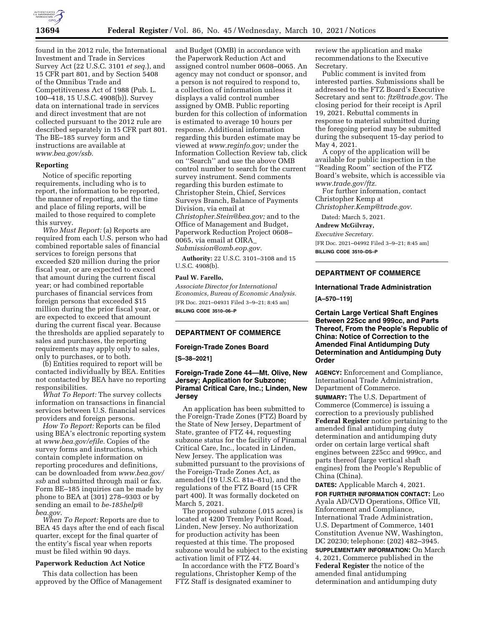

found in the 2012 rule, the International Investment and Trade in Services Survey Act (22 U.S.C. 3101 *et seq.*), and 15 CFR part 801, and by Section 5408 of the Omnibus Trade and Competitiveness Act of 1988 (Pub. L. 100–418, 15 U.S.C. 4908(b)). Survey data on international trade in services and direct investment that are not collected pursuant to the 2012 rule are described separately in 15 CFR part 801. The BE–185 survey form and instructions are available at *[www.bea.gov/ssb.](http://www.bea.gov/ssb)* 

## **Reporting**

Notice of specific reporting requirements, including who is to report, the information to be reported, the manner of reporting, and the time and place of filing reports, will be mailed to those required to complete this survey.

*Who Must Report:* (a) Reports are required from each U.S. person who had combined reportable sales of financial services to foreign persons that exceeded \$20 million during the prior fiscal year, or are expected to exceed that amount during the current fiscal year; or had combined reportable purchases of financial services from foreign persons that exceeded \$15 million during the prior fiscal year, or are expected to exceed that amount during the current fiscal year. Because the thresholds are applied separately to sales and purchases, the reporting requirements may apply only to sales, only to purchases, or to both.

(b) Entities required to report will be contacted individually by BEA. Entities not contacted by BEA have no reporting responsibilities.

*What To Report:* The survey collects information on transactions in financial services between U.S. financial services providers and foreign persons.

*How To Report:* Reports can be filed using BEA's electronic reporting system at *[www.bea.gov/efile.](http://www.bea.gov/efile)* Copies of the survey forms and instructions, which contain complete information on reporting procedures and definitions, can be downloaded from *[www.bea.gov/](http://www.bea.gov/ssb)  [ssb](http://www.bea.gov/ssb)* and submitted through mail or fax. Form BE–185 inquiries can be made by phone to BEA at (301) 278–9303 or by sending an email to *[be-185help@](mailto:be-185help@bea.gov) [bea.gov.](mailto:be-185help@bea.gov)* 

*When To Report:* Reports are due to BEA 45 days after the end of each fiscal quarter, except for the final quarter of the entity's fiscal year when reports must be filed within 90 days.

### **Paperwork Reduction Act Notice**

This data collection has been approved by the Office of Management and Budget (OMB) in accordance with the Paperwork Reduction Act and assigned control number 0608–0065. An agency may not conduct or sponsor, and a person is not required to respond to, a collection of information unless it displays a valid control number assigned by OMB. Public reporting burden for this collection of information is estimated to average 10 hours per response. Additional information regarding this burden estimate may be viewed at *[www.reginfo.gov;](http://www.reginfo.gov)* under the Information Collection Review tab, click on ''Search'' and use the above OMB control number to search for the current survey instrument. Send comments regarding this burden estimate to Christopher Stein, Chief, Services Surveys Branch, Balance of Payments Division, via email at *[Christopher.Stein@bea.gov;](mailto:Christopher.Stein@bea.gov)* and to the Office of Management and Budget, Paperwork Reduction Project 0608– 0065, via email at OIRA\_ *[Submission@omb.eop.gov.](mailto:Submission@omb.eop.gov)* 

**Authority:** 22 U.S.C. 3101–3108 and 15 U.S.C. 4908(b).

## **Paul W. Farello,**

*Associate Director for International Economics, Bureau of Economic Analysis.*  [FR Doc. 2021–04931 Filed 3–9–21; 8:45 am] **BILLING CODE 3510–06–P** 

#### **DEPARTMENT OF COMMERCE**

#### **Foreign-Trade Zones Board**

**[S–38–2021]** 

## **Foreign-Trade Zone 44—Mt. Olive, New Jersey; Application for Subzone; Piramal Critical Care, Inc.; Linden, New Jersey**

An application has been submitted to the Foreign-Trade Zones (FTZ) Board by the State of New Jersey, Department of State, grantee of FTZ 44, requesting subzone status for the facility of Piramal Critical Care, Inc., located in Linden, New Jersey. The application was submitted pursuant to the provisions of the Foreign-Trade Zones Act, as amended (19 U.S.C. 81a–81u), and the regulations of the FTZ Board (15 CFR part 400). It was formally docketed on March 5, 2021.

The proposed subzone (.015 acres) is located at 4200 Tremley Point Road, Linden, New Jersey. No authorization for production activity has been requested at this time. The proposed subzone would be subject to the existing activation limit of FTZ 44.

In accordance with the FTZ Board's regulations, Christopher Kemp of the FTZ Staff is designated examiner to

review the application and make recommendations to the Executive Secretary.

Public comment is invited from interested parties. Submissions shall be addressed to the FTZ Board's Executive Secretary and sent to: *[ftz@trade.gov.](mailto:ftz@trade.gov)* The closing period for their receipt is April 19, 2021. Rebuttal comments in response to material submitted during the foregoing period may be submitted during the subsequent 15-day period to May 4, 2021.

A copy of the application will be available for public inspection in the ''Reading Room'' section of the FTZ Board's website, which is accessible via *[www.trade.gov/ftz.](http://www.trade.gov/ftz)* 

For further information, contact Christopher Kemp at *[Christopher.Kemp@trade.gov.](mailto:Christopher.Kemp@trade.gov)* 

Dated: March 5, 2021. **Andrew McGilvray,** 

*Executive Secretary.* 

[FR Doc. 2021–04992 Filed 3–9–21; 8:45 am]

**BILLING CODE 3510–DS–P** 

# **DEPARTMENT OF COMMERCE**

#### **International Trade Administration**

**[A–570–119]** 

**Certain Large Vertical Shaft Engines Between 225cc and 999cc, and Parts Thereof, From the People's Republic of China: Notice of Correction to the Amended Final Antidumping Duty Determination and Antidumping Duty Order** 

**AGENCY:** Enforcement and Compliance, International Trade Administration, Department of Commerce.

**SUMMARY:** The U.S. Department of Commerce (Commerce) is issuing a correction to a previously published **Federal Register** notice pertaining to the amended final antidumping duty determination and antidumping duty order on certain large vertical shaft engines between 225cc and 999cc, and parts thereof (large vertical shaft engines) from the People's Republic of China (China).

**DATES:** Applicable March 4, 2021. **FOR FURTHER INFORMATION CONTACT:** Leo Ayala AD/CVD Operations, Office VII, Enforcement and Compliance, International Trade Administration, U.S. Department of Commerce, 1401 Constitution Avenue NW, Washington, DC 20230; telephone: (202) 482–3945.

**SUPPLEMENTARY INFORMATION:** On March 4, 2021, Commerce published in the **Federal Register** the notice of the amended final antidumping determination and antidumping duty